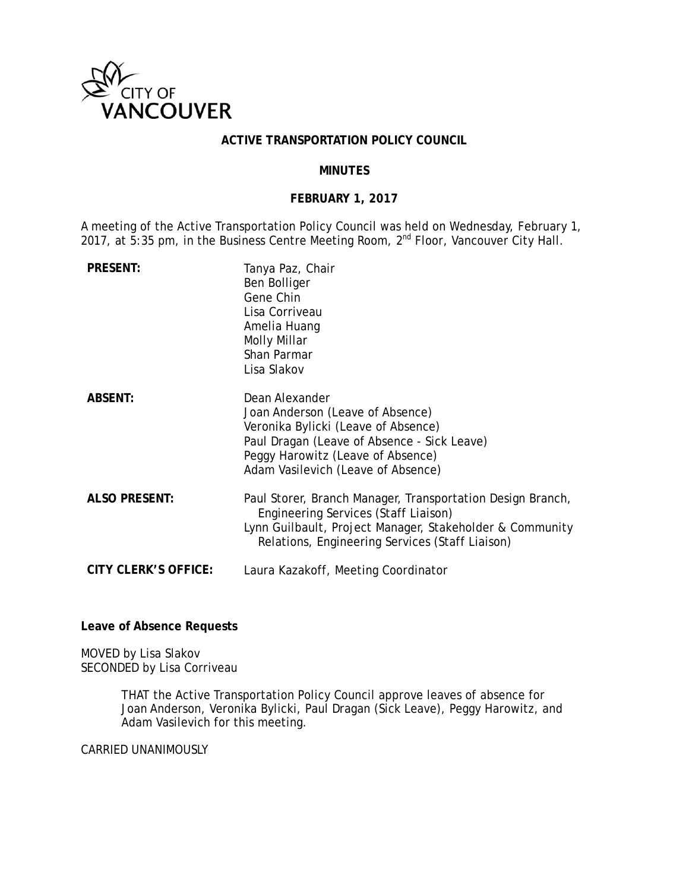

#### **ACTIVE TRANSPORTATION POLICY COUNCIL**

#### **MINUTES**

### **FEBRUARY 1, 2017**

A meeting of the Active Transportation Policy Council was held on Wednesday, February 1, 2017, at 5:35 pm, in the Business Centre Meeting Room,  $2^{nd}$  Floor, Vancouver City Hall.

| <b>PRESENT:</b>             | Tanya Paz, Chair<br>Ben Bolliger<br>Gene Chin<br>Lisa Corriveau<br>Amelia Huang<br>Molly Millar<br>Shan Parmar<br>Lisa Slakov                                                                                       |
|-----------------------------|---------------------------------------------------------------------------------------------------------------------------------------------------------------------------------------------------------------------|
| <b>ABSENT:</b>              | Dean Alexander<br>Joan Anderson (Leave of Absence)<br>Veronika Bylicki (Leave of Absence)<br>Paul Dragan (Leave of Absence - Sick Leave)<br>Peggy Harowitz (Leave of Absence)<br>Adam Vasilevich (Leave of Absence) |
| <b>ALSO PRESENT:</b>        | Paul Storer, Branch Manager, Transportation Design Branch,<br>Engineering Services (Staff Liaison)<br>Lynn Guilbault, Project Manager, Stakeholder & Community<br>Relations, Engineering Services (Staff Liaison)   |
| <b>CITY CLERK'S OFFICE:</b> | Laura Kazakoff, Meeting Coordinator                                                                                                                                                                                 |

**Leave of Absence Requests** 

MOVED by Lisa Slakov SECONDED by Lisa Corriveau

> THAT the Active Transportation Policy Council approve leaves of absence for Joan Anderson, Veronika Bylicki, Paul Dragan (Sick Leave), Peggy Harowitz, and Adam Vasilevich for this meeting.

CARRIED UNANIMOUSLY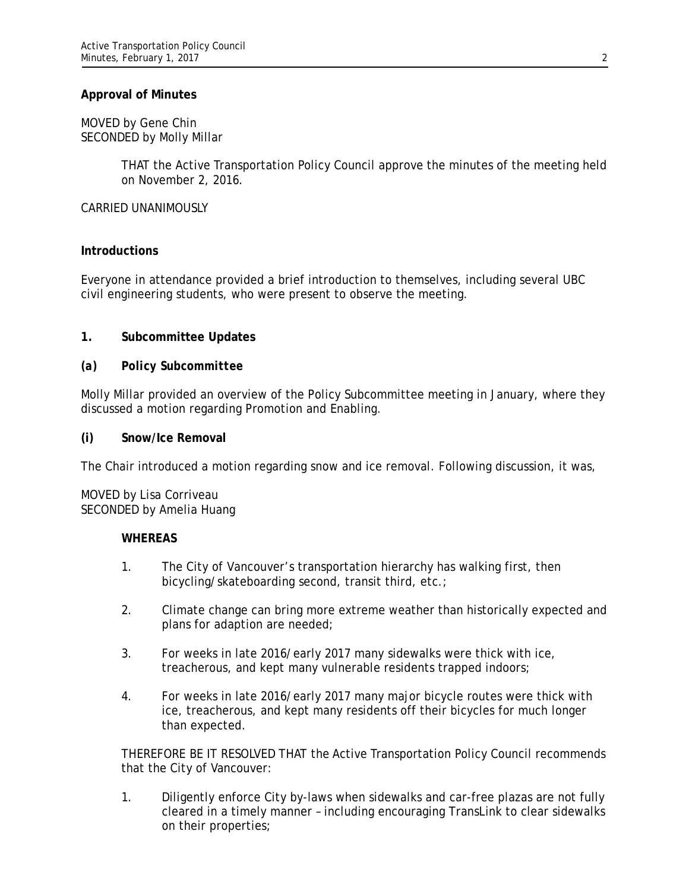#### **Approval of Minutes**

#### MOVED by Gene Chin SECONDED by Molly Millar

THAT the Active Transportation Policy Council approve the minutes of the meeting held on November 2, 2016.

CARRIED UNANIMOUSLY

### **Introductions**

Everyone in attendance provided a brief introduction to themselves, including several UBC civil engineering students, who were present to observe the meeting.

### **1. Subcommittee Updates**

### *(a) Policy Subcommittee*

Molly Millar provided an overview of the Policy Subcommittee meeting in January, where they discussed a motion regarding Promotion and Enabling.

#### **(i) Snow/Ice Removal**

The Chair introduced a motion regarding snow and ice removal. Following discussion, it was,

MOVED by Lisa Corriveau SECONDED by Amelia Huang

#### **WHEREAS**

- 1. The City of Vancouver's transportation hierarchy has walking first, then bicycling/skateboarding second, transit third, etc.;
- 2. Climate change can bring more extreme weather than historically expected and plans for adaption are needed;
- 3. For weeks in late 2016/early 2017 many sidewalks were thick with ice, treacherous, and kept many vulnerable residents trapped indoors;
- 4. For weeks in late 2016/early 2017 many major bicycle routes were thick with ice, treacherous, and kept many residents off their bicycles for much longer than expected.

THEREFORE BE IT RESOLVED THAT the Active Transportation Policy Council recommends that the City of Vancouver:

1. Diligently enforce City by-laws when sidewalks and car-free plazas are not fully cleared in a timely manner – including encouraging TransLink to clear sidewalks on their properties;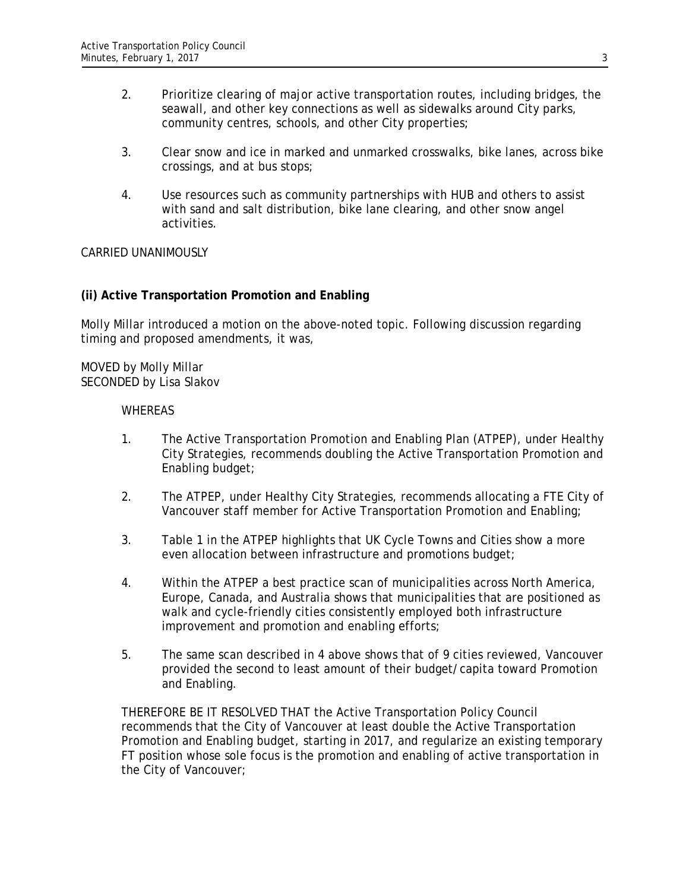- 2. Prioritize clearing of major active transportation routes, including bridges, the seawall, and other key connections as well as sidewalks around City parks, community centres, schools, and other City properties;
- 3. Clear snow and ice in marked and unmarked crosswalks, bike lanes, across bike crossings, and at bus stops;
- 4. Use resources such as community partnerships with HUB and others to assist with sand and salt distribution, bike lane clearing, and other snow angel activities.

### CARRIED UNANIMOUSLY

### **(ii) Active Transportation Promotion and Enabling**

Molly Millar introduced a motion on the above-noted topic. Following discussion regarding timing and proposed amendments, it was,

MOVED by Molly Millar SECONDED by Lisa Slakov

#### **WHEREAS**

- 1. The Active Transportation Promotion and Enabling Plan (ATPEP), under Healthy City Strategies, recommends doubling the Active Transportation Promotion and Enabling budget;
- 2. The ATPEP, under Healthy City Strategies, recommends allocating a FTE City of Vancouver staff member for Active Transportation Promotion and Enabling;
- 3. Table 1 in the ATPEP highlights that UK Cycle Towns and Cities show a more even allocation between infrastructure and promotions budget;
- 4. Within the ATPEP a best practice scan of municipalities across North America, Europe, Canada, and Australia shows that municipalities that are positioned as walk and cycle-friendly cities consistently employed both infrastructure improvement and promotion and enabling efforts;
- 5. The same scan described in 4 above shows that of 9 cities reviewed, Vancouver provided the second to least amount of their budget/capita toward Promotion and Enabling.

THEREFORE BE IT RESOLVED THAT the Active Transportation Policy Council recommends that the City of Vancouver at least double the Active Transportation Promotion and Enabling budget, starting in 2017, and regularize an existing temporary FT position whose sole focus is the promotion and enabling of active transportation in the City of Vancouver;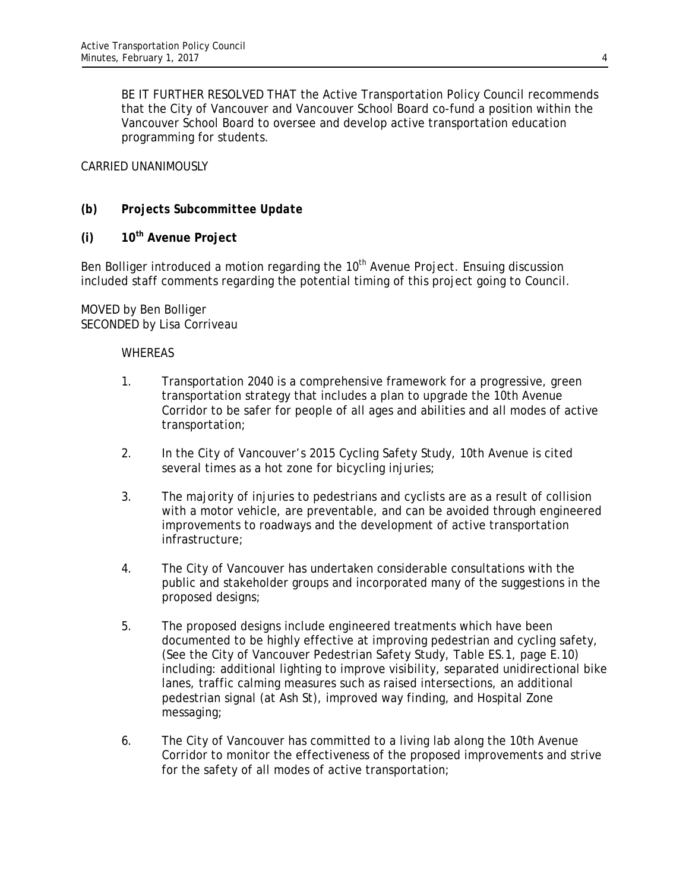BE IT FURTHER RESOLVED THAT the Active Transportation Policy Council recommends that the City of Vancouver and Vancouver School Board co-fund a position within the Vancouver School Board to oversee and develop active transportation education programming for students.

### CARRIED UNANIMOUSLY

## *(b) Projects Subcommittee Update*

**(i) 10th Avenue Project** 

Ben Bolliger introduced a motion regarding the  $10<sup>th</sup>$  Avenue Project. Ensuing discussion included staff comments regarding the potential timing of this project going to Council.

### MOVED by Ben Bolliger SECONDED by Lisa Corriveau

### **WHEREAS**

- 1. Transportation 2040 is a comprehensive framework for a progressive, green transportation strategy that includes a plan to upgrade the 10th Avenue Corridor to be safer for people of all ages and abilities and all modes of active transportation;
- 2. In the City of Vancouver's 2015 Cycling Safety Study, 10th Avenue is cited several times as a hot zone for bicycling injuries;
- 3. The majority of injuries to pedestrians and cyclists are as a result of collision with a motor vehicle, are preventable, and can be avoided through engineered improvements to roadways and the development of active transportation infrastructure;
- 4. The City of Vancouver has undertaken considerable consultations with the public and stakeholder groups and incorporated many of the suggestions in the proposed designs;
- 5. The proposed designs include engineered treatments which have been documented to be highly effective at improving pedestrian and cycling safety, (See the City of Vancouver Pedestrian Safety Study, Table ES.1, page E.10) including: additional lighting to improve visibility, separated unidirectional bike lanes, traffic calming measures such as raised intersections, an additional pedestrian signal (at Ash St), improved way finding, and Hospital Zone messaging;
- 6. The City of Vancouver has committed to a living lab along the 10th Avenue Corridor to monitor the effectiveness of the proposed improvements and strive for the safety of all modes of active transportation;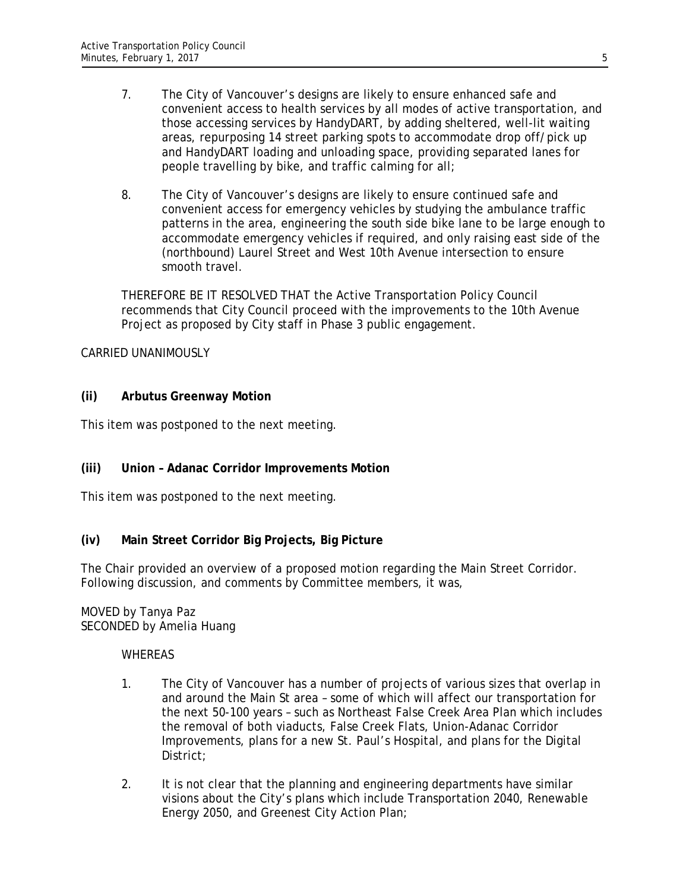- 7. The City of Vancouver's designs are likely to ensure enhanced safe and convenient access to health services by all modes of active transportation, and those accessing services by HandyDART, by adding sheltered, well-lit waiting areas, repurposing 14 street parking spots to accommodate drop off/pick up and HandyDART loading and unloading space, providing separated lanes for people travelling by bike, and traffic calming for all;
- 8. The City of Vancouver's designs are likely to ensure continued safe and convenient access for emergency vehicles by studying the ambulance traffic patterns in the area, engineering the south side bike lane to be large enough to accommodate emergency vehicles if required, and only raising east side of the (northbound) Laurel Street and West 10th Avenue intersection to ensure smooth travel.

THEREFORE BE IT RESOLVED THAT the Active Transportation Policy Council recommends that City Council proceed with the improvements to the 10th Avenue Project as proposed by City staff in Phase 3 public engagement.

### CARRIED UNANIMOUSLY

### **(ii) Arbutus Greenway Motion**

This item was postponed to the next meeting.

### **(iii) Union – Adanac Corridor Improvements Motion**

This item was postponed to the next meeting.

### **(iv) Main Street Corridor Big Projects, Big Picture**

The Chair provided an overview of a proposed motion regarding the Main Street Corridor. Following discussion, and comments by Committee members, it was,

#### MOVED by Tanya Paz SECONDED by Amelia Huang

#### WHEREAS

- 1. The City of Vancouver has a number of projects of various sizes that overlap in and around the Main St area – some of which will affect our transportation for the next 50-100 years – such as Northeast False Creek Area Plan which includes the removal of both viaducts, False Creek Flats, Union-Adanac Corridor Improvements, plans for a new St. Paul's Hospital, and plans for the Digital District;
- 2. It is not clear that the planning and engineering departments have similar visions about the City's plans which include Transportation 2040, Renewable Energy 2050, and Greenest City Action Plan;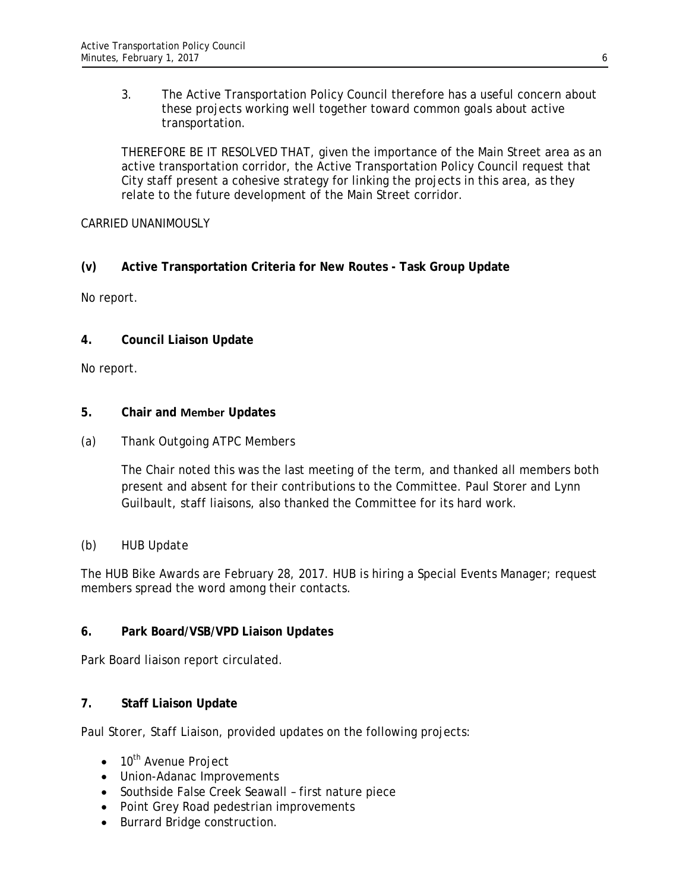3. The Active Transportation Policy Council therefore has a useful concern about these projects working well together toward common goals about active transportation.

THEREFORE BE IT RESOLVED THAT, given the importance of the Main Street area as an active transportation corridor, the Active Transportation Policy Council request that City staff present a cohesive strategy for linking the projects in this area, as they relate to the future development of the Main Street corridor.

## CARRIED UNANIMOUSLY

# **(v) Active Transportation Criteria for New Routes - Task Group Update**

No report.

## **4. Council Liaison Update**

No report.

## **5. Chair and Member Updates**

## *(a) Thank Outgoing ATPC Members*

The Chair noted this was the last meeting of the term, and thanked all members both present and absent for their contributions to the Committee. Paul Storer and Lynn Guilbault, staff liaisons, also thanked the Committee for its hard work.

# *(b) HUB Update*

The HUB Bike Awards are February 28, 2017. HUB is hiring a Special Events Manager; request members spread the word among their contacts.

### **6. Park Board/VSB/VPD Liaison Updates**

Park Board liaison report circulated.

# **7. Staff Liaison Update**

Paul Storer, Staff Liaison, provided updates on the following projects:

- $\bullet$  10<sup>th</sup> Avenue Project
- Union-Adanac Improvements
- Southside False Creek Seawall first nature piece
- Point Grey Road pedestrian improvements
- Burrard Bridge construction.